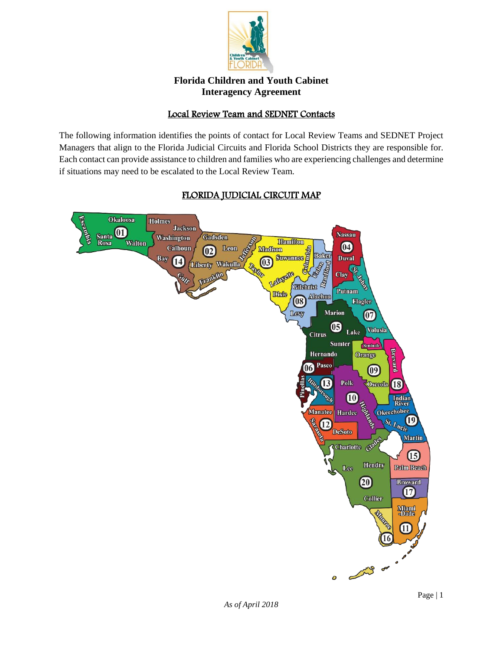

## Local Review Team and SEDNET Contacts

The following information identifies the points of contact for Local Review Teams and SEDNET Project Managers that align to the Florida Judicial Circuits and Florida School Districts they are responsible for. Each contact can provide assistance to children and families who are experiencing challenges and determine if situations may need to be escalated to the Local Review Team.

## FLORIDA JUDICIAL CIRCUIT MAP

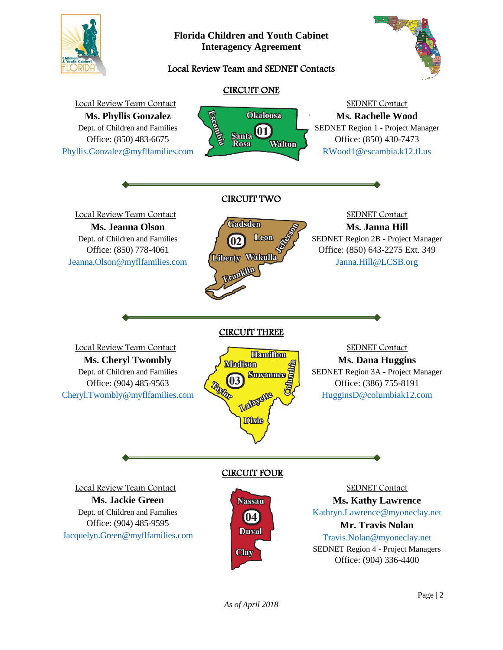

## Local Review Team and SEDNET Contacts



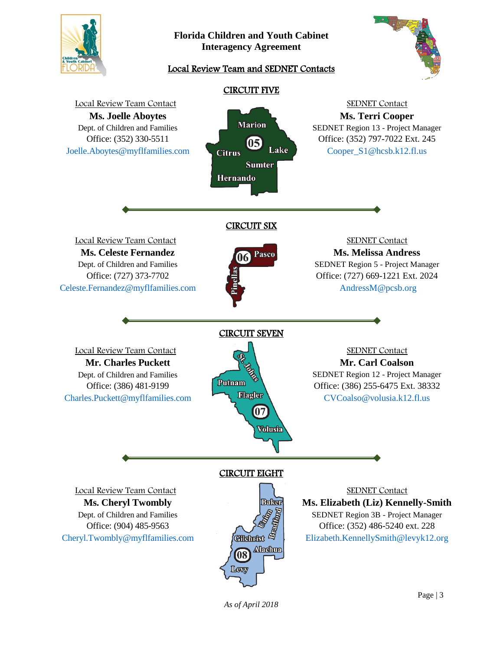

## Local Review Team and SEDNET Contacts





*As of April 2018*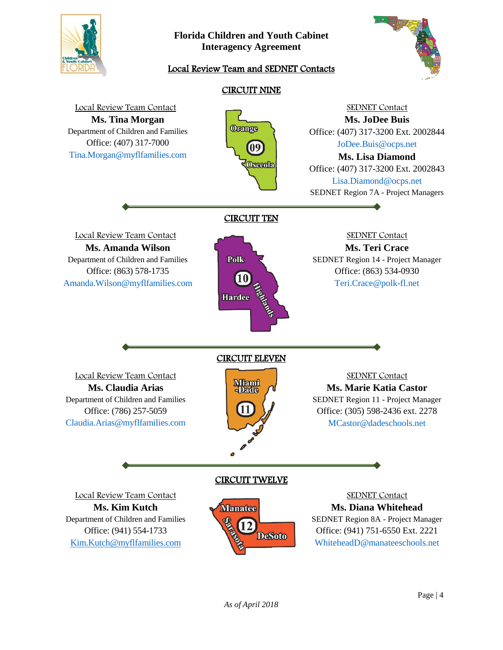

# Local Review Team and SEDNET Contacts



#### CIRCUIT NINE Local Review Team Contact SEDNET Contact **Ms. Tina Morgan Ms. JoDee Buis Orange** Department of Children and Families Office: (407) 317-3200 Ext. 2002844 Office: (407) 317-7000 [JoDee.Buis@ocps.net](mailto:JoDee.Buis@ocps.net) 09 [Tina.Morgan@myflfamilies.com](mailto:Tina.Morgan@myflfamilies.com) **Ms. Lisa Diamond** Osceola Office: (407) 317-3200 Ext. 2002843 [Lisa.Diamond@ocps.net](mailto:Lisa.Diamond@ocps.net)  SEDNET Region 7A - Project Managers CIRCUIT TEN Local Review Team Contact SEDNET Contact **Ms. Amanda Wilson Ms. Teri Crace** Polk Department of Children and Families SEDNET Region 14 - Project Manager Office: (863) 534-0930 Office: (863) 578-1735 [Amanda.Wilson@myflfamilies.com](mailto:Amanda.Wilson@myflfamilies.com) [Teri.Crace@polk-fl.net](mailto:Teri.Crace@polk-fl.ne)  **Hardee** CIRCUIT ELEVEN Local Review Team Contact SEDNET Contact **Miami**<br>-Dade **Ms. Claudia Arias Ms. Marie Katia Castor** Department of Children and Families SEDNET Region 11 - Project Manager 11 Office: (786) 257-5059 Office: (305) 598-2436 ext. 2278 [Claudia.Arias@myflfamilies.com](mailto:Claudia.Arias@myflfamilies.com) MCastor@dadeschools.net CIRCUIT TWELVE Local Review Team Contact SEDNET Contact **Ms. Kim Kutch Manatee Ms. Diana Whitehead** Department of Children and Families SEDNET Region 8A - Project Manager Office: (941) 751-6550 Ext. 2221 Office: (941) 554-1733 **DeSoto** [Kim.Kutch@myflfamilies.com](mailto:Kim.Kutch@myflfamilies.com)[WhiteheadD@manateeschools.net](mailto:MCastor@dadeschools.net)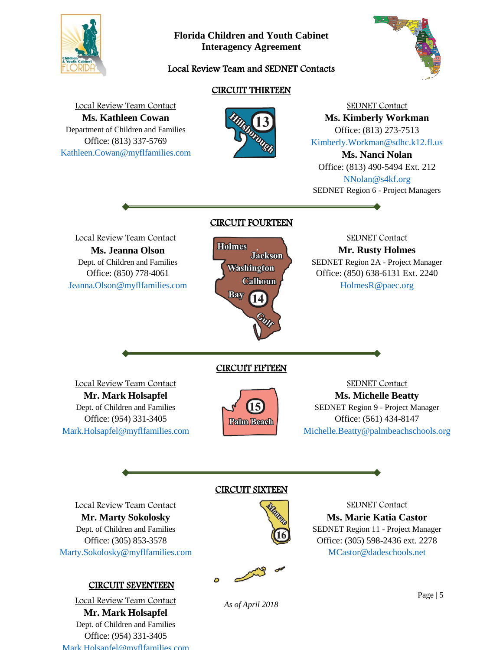

## Local Review Team and SEDNET Contacts



# CIRCUIT THIRTEEN



SEDNET Contact **Ms. Kimberly Workman** Office: (813) 273-7513 [Kimberly.Workman@sdhc.k12.fl.us](mailto:Kimberly.Workman@sdhc.k12.fl.us) **Ms. Nanci Nolan** Office: (813) 490-5494 Ext. 212

[NNolan@s4kf.org](mailto:NNolan@s4kf.org)  SEDNET Region 6 - Project Managers

SEDNET Contact

Local Review Team Contact **Ms. Jeanna Olson** Dept. of Children and Families Office: (850) 778-4061 [Jeanna.Olson@myflfamilies.com](mailto:Jeanna.Olson@myflfamilies.com)

Local Review Team Contact **Ms. Kathleen Cowan** Department of Children and Families Office: (813) 337-5769 [Kathleen.Cowan@myflfamilies.com](mailto:Kathleen.Cowan@myflfamilies.com)



CIRCUIT FIFTEEN

15 **Palm Beach** 

CIRCUIT FOURTEEN

**Mr. Rusty Holmes** SEDNET Region 2A - Project Manager Office: (850) 638-6131 Ext. 2240 [HolmesR@paec.org](mailto:HolmesR@paec.org) 

Local Review Team Contact **Mr. Mark Holsapfel** Dept. of Children and Families Office: (954) 331-3405 [Mark.Holsapfel@myflfamilies.com](mailto:Mark.Holsapfel@myflfamilies.com)

SEDNET Contact **Ms. Michelle Beatty** SEDNET Region 9 - Project Manager Office: (561) 434-8147 [Michelle.Beatty@palmbeachschools.org](mailto:Michelle.Beatty@palmbeachschools.org) 

Local Review Team Contact **Mr. Marty Sokolosky** Dept. of Children and Families Office: (305) 853-3578 [Marty.Sokolosky@myflfamilies.com](mailto:Marty.Sokolosky@myflfamilies.com)

## CIRCUIT SEVENTEEN

Local Review Team Contact **Mr. Mark Holsapfel** Dept. of Children and Families Office: (954) 331-3405 [Mark.Holsapfel@myflfamilies.com](mailto:Mark.Holsapfel@myflfamilies.com)

### CIRCUIT SIXTEEN



SEDNET Contact **Ms. Marie Katia Castor** SEDNET Region 11 - Project Manager Office: (305) 598-2436 ext. 2278 [MCastor@dadeschools.net](mailto:MCastor@dadeschools.net) 

*As of April 2018*

Page | 5